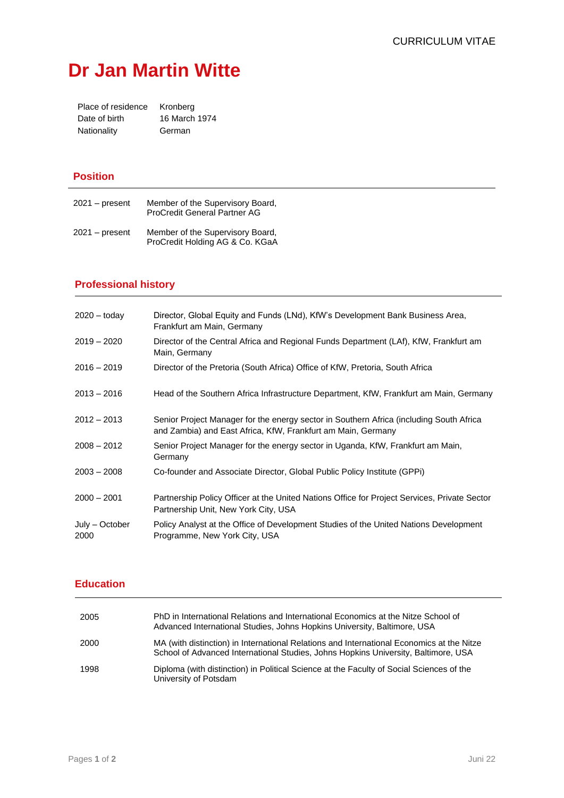# **Dr Jan Martin Witte**

| Place of residence | Kronberg      |
|--------------------|---------------|
| Date of birth      | 16 March 1974 |
| Nationality        | German        |

### **Position**

| $2021 - present$ | Member of the Supervisory Board,<br><b>ProCredit General Partner AG</b> |
|------------------|-------------------------------------------------------------------------|
| $2021 - present$ | Member of the Supervisory Board,<br>ProCredit Holding AG & Co. KGaA     |

## **Professional history**

| $2020 - \text{today}$  | Director, Global Equity and Funds (LNd), KfW's Development Bank Business Area,<br>Frankfurt am Main, Germany                                            |
|------------------------|---------------------------------------------------------------------------------------------------------------------------------------------------------|
| $2019 - 2020$          | Director of the Central Africa and Regional Funds Department (LAf), KfW, Frankfurt am<br>Main, Germany                                                  |
| $2016 - 2019$          | Director of the Pretoria (South Africa) Office of KfW, Pretoria, South Africa                                                                           |
| $2013 - 2016$          | Head of the Southern Africa Infrastructure Department, KfW, Frankfurt am Main, Germany                                                                  |
| $2012 - 2013$          | Senior Project Manager for the energy sector in Southern Africa (including South Africa<br>and Zambia) and East Africa, KfW, Frankfurt am Main, Germany |
| $2008 - 2012$          | Senior Project Manager for the energy sector in Uganda, KfW, Frankfurt am Main,<br>Germany                                                              |
| $2003 - 2008$          | Co-founder and Associate Director, Global Public Policy Institute (GPPi)                                                                                |
| $2000 - 2001$          | Partnership Policy Officer at the United Nations Office for Project Services, Private Sector<br>Partnership Unit, New York City, USA                    |
| July – October<br>2000 | Policy Analyst at the Office of Development Studies of the United Nations Development<br>Programme, New York City, USA                                  |

#### **Education**

| 2005 | PhD in International Relations and International Economics at the Nitze School of<br>Advanced International Studies, Johns Hopkins University, Baltimore, USA                   |
|------|---------------------------------------------------------------------------------------------------------------------------------------------------------------------------------|
| 2000 | MA (with distinction) in International Relations and International Economics at the Nitze<br>School of Advanced International Studies, Johns Hopkins University, Baltimore, USA |
| 1998 | Diploma (with distinction) in Political Science at the Faculty of Social Sciences of the<br>University of Potsdam                                                               |